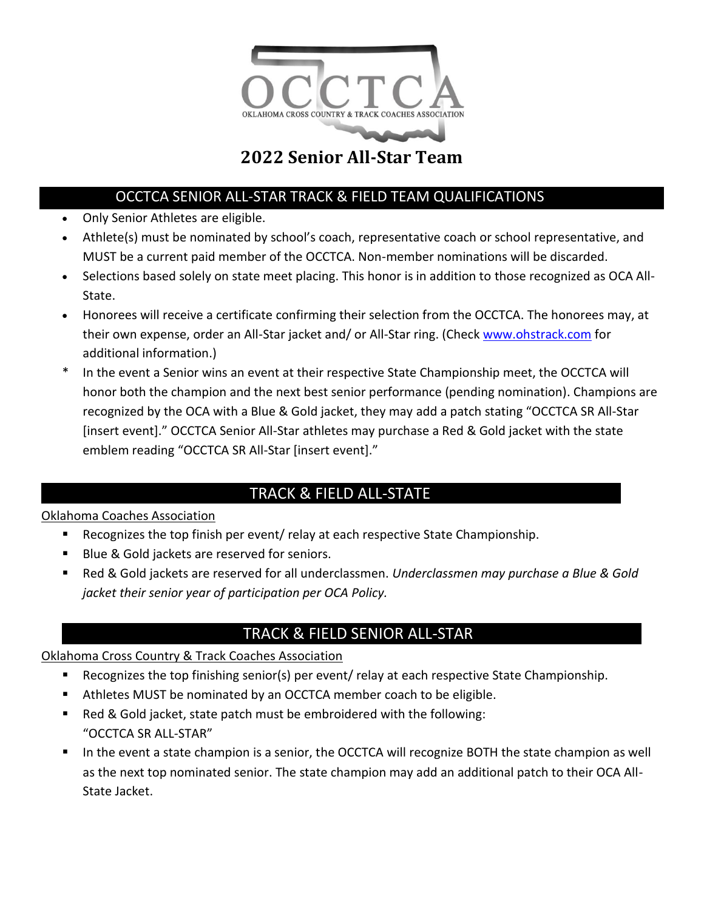

#### OCCTCA SENIOR ALL-STAR TRACK & FIELD TEAM QUALIFICATIONS

- Only Senior Athletes are eligible.
- Athlete(s) must be nominated by school's coach, representative coach or school representative, and MUST be a current paid member of the OCCTCA. Non-member nominations will be discarded.
- Selections based solely on state meet placing. This honor is in addition to those recognized as OCA All-State.
- Honorees will receive a certificate confirming their selection from the OCCTCA. The honorees may, at their own expense, order an All-Star jacket and/ or All-Star ring. (Check [www.ohstrack.com](http://www.ohstrack.com/) for additional information.)
- In the event a Senior wins an event at their respective State Championship meet, the OCCTCA will honor both the champion and the next best senior performance (pending nomination). Champions are recognized by the OCA with a Blue & Gold jacket, they may add a patch stating "OCCTCA SR All-Star [insert event]." OCCTCA Senior All-Star athletes may purchase a Red & Gold jacket with the state emblem reading "OCCTCA SR All-Star [insert event]."

### TRACK & FIELD ALL-STATE

#### Oklahoma Coaches Association

- Recognizes the top finish per event/ relay at each respective State Championship.
- Blue & Gold jackets are reserved for seniors.
- Red & Gold jackets are reserved for all underclassmen. *Underclassmen may purchase a Blue & Gold jacket their senior year of participation per OCA Policy.*

### TRACK & FIELD SENIOR ALL-STAR

#### Oklahoma Cross Country & Track Coaches Association

- Recognizes the top finishing senior(s) per event/ relay at each respective State Championship.
- Athletes MUST be nominated by an OCCTCA member coach to be eligible.
- Red & Gold jacket, state patch must be embroidered with the following: "OCCTCA SR ALL-STAR"
- In the event a state champion is a senior, the OCCTCA will recognize BOTH the state champion as well as the next top nominated senior. The state champion may add an additional patch to their OCA All-State Jacket.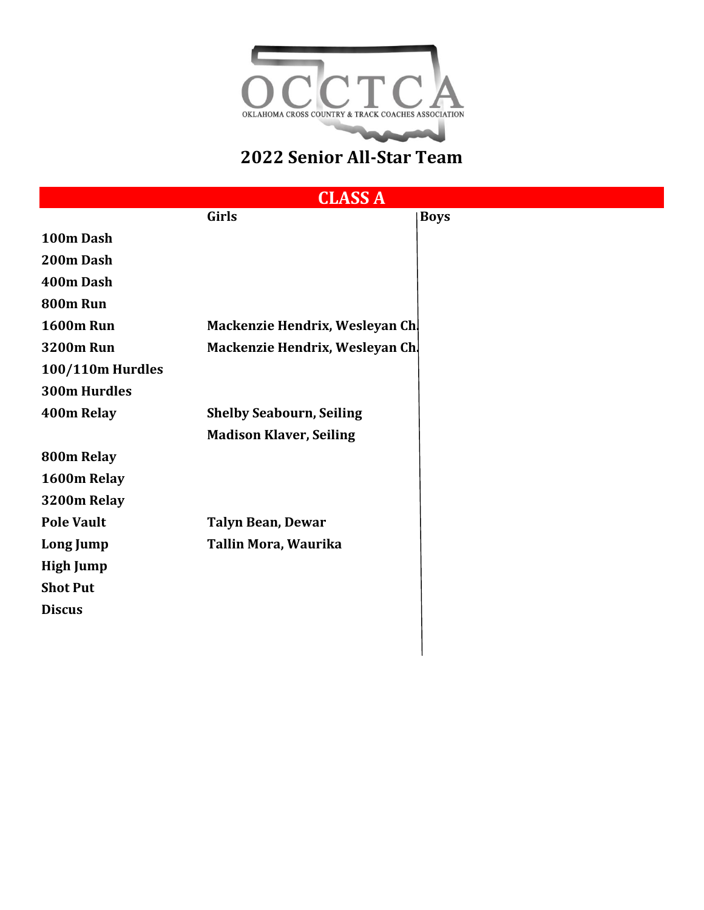

|                         | <b>CLASS A</b>                  |             |
|-------------------------|---------------------------------|-------------|
|                         | <b>Girls</b>                    | <b>Boys</b> |
| 100m Dash               |                                 |             |
| 200m Dash               |                                 |             |
| 400m Dash               |                                 |             |
| 800m Run                |                                 |             |
| <b>1600m Run</b>        | Mackenzie Hendrix, Wesleyan Ch. |             |
| <b>3200m Run</b>        | Mackenzie Hendrix, Wesleyan Ch. |             |
| <b>100/110m Hurdles</b> |                                 |             |
| <b>300m Hurdles</b>     |                                 |             |
| 400m Relay              | <b>Shelby Seabourn, Seiling</b> |             |
|                         | <b>Madison Klaver, Seiling</b>  |             |
| 800m Relay              |                                 |             |
| 1600m Relay             |                                 |             |
| 3200m Relay             |                                 |             |
| <b>Pole Vault</b>       | <b>Talyn Bean, Dewar</b>        |             |
| Long Jump               | Tallin Mora, Waurika            |             |
| <b>High Jump</b>        |                                 |             |
| <b>Shot Put</b>         |                                 |             |
| <b>Discus</b>           |                                 |             |
|                         |                                 |             |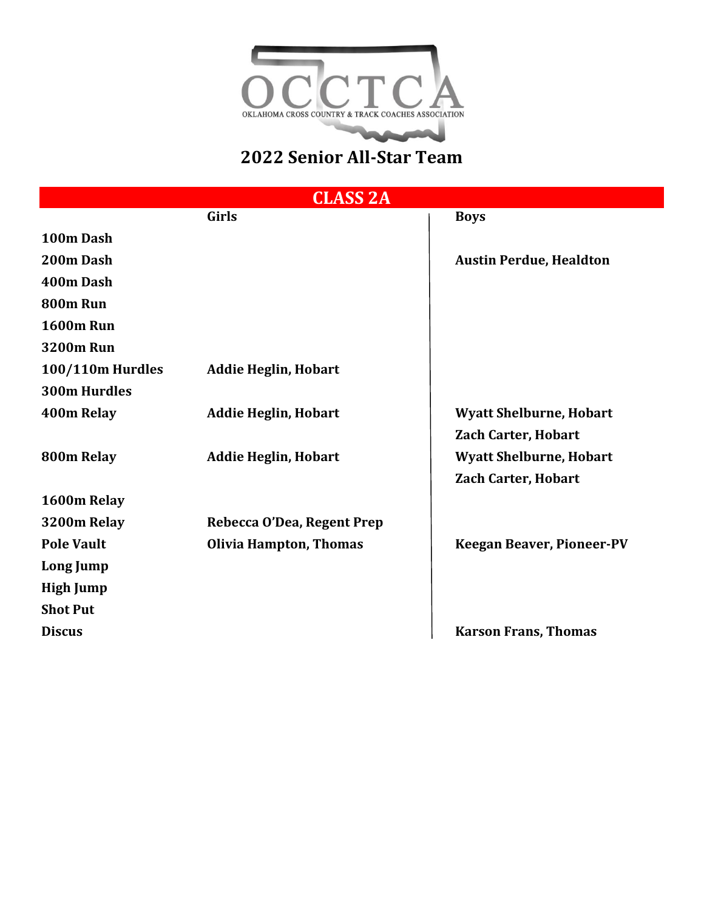

**CLASS 2A**

|                         | Girls                         | <b>Boys</b>                      |
|-------------------------|-------------------------------|----------------------------------|
| 100m Dash               |                               |                                  |
| 200m Dash               |                               | <b>Austin Perdue, Healdton</b>   |
| 400m Dash               |                               |                                  |
| 800m Run                |                               |                                  |
| <b>1600m Run</b>        |                               |                                  |
| <b>3200m Run</b>        |                               |                                  |
| <b>100/110m Hurdles</b> | <b>Addie Heglin, Hobart</b>   |                                  |
| <b>300m Hurdles</b>     |                               |                                  |
| 400m Relay              | <b>Addie Heglin, Hobart</b>   | <b>Wyatt Shelburne, Hobart</b>   |
|                         |                               | <b>Zach Carter, Hobart</b>       |
| 800m Relay              | <b>Addie Heglin, Hobart</b>   | <b>Wyatt Shelburne, Hobart</b>   |
|                         |                               | <b>Zach Carter, Hobart</b>       |
| 1600m Relay             |                               |                                  |
| 3200m Relay             | Rebecca O'Dea, Regent Prep    |                                  |
| <b>Pole Vault</b>       | <b>Olivia Hampton, Thomas</b> | <b>Keegan Beaver, Pioneer-PV</b> |
| Long Jump               |                               |                                  |
| <b>High Jump</b>        |                               |                                  |
| <b>Shot Put</b>         |                               |                                  |
| <b>Discus</b>           |                               | <b>Karson Frans, Thomas</b>      |
|                         |                               |                                  |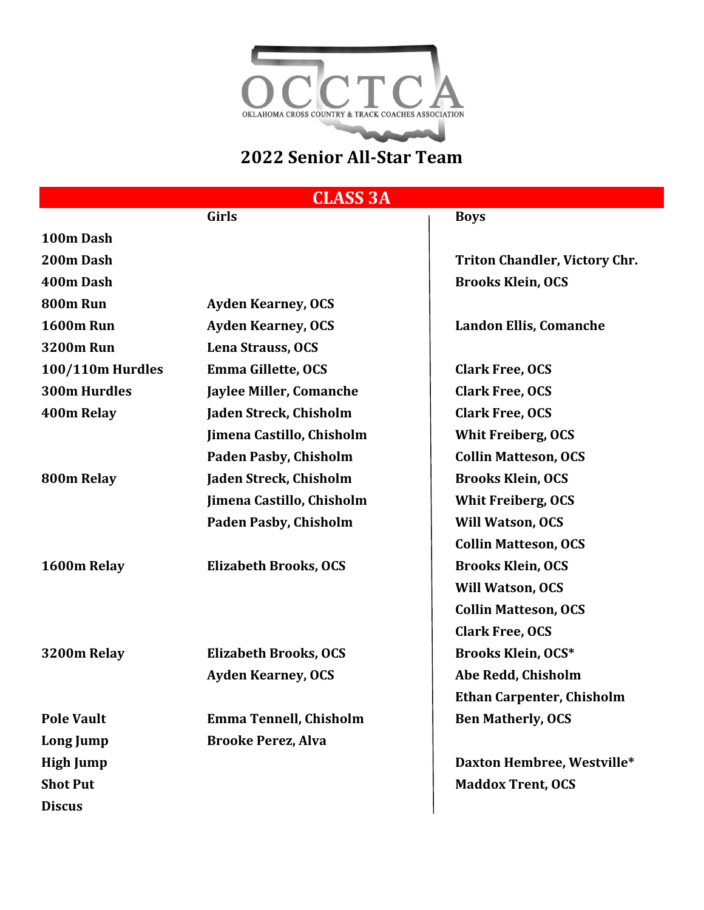

### **CLASS 3A**

# **Girls Boys 100m Dash 200m Dash Triton Chandler, Victory Chr. 400m Dash Brooks Klein, OCS 800m Run Ayden Kearney, OCS 1600m Run Ayden Kearney, OCS Landon Ellis, Comanche 3200m Run Lena Strauss, OCS 100/110m Hurdles Emma Gillette, OCS Clark Free, OCS 300m Hurdles Jaylee Miller, Comanche Clark Free, OCS 400m Relay Jaden Streck, Chisholm Clark Free, OCS Jimena Castillo, Chisholm Whit Freiberg, OCS Paden Pasby, Chisholm Collin Matteson, OCS 800m Relay Jaden Streck, Chisholm Brooks Klein, OCS Jimena Castillo, Chisholm Whit Freiberg, OCS** Paden Pasby, Chisholm **Will Watson, OCS 1600m Relay Elizabeth Brooks, OCS Brooks Klein, OCS 3200m Relay Elizabeth Brooks, OCS Brooks Klein, OCS\* Ayden Kearney, OCS Abe Redd, Chisholm Pole Vault Emma Tennell, Chisholm Ben Matherly, OCS Long Jump Brooke Perez, Alva High Jump Daxton Hembree, Westville\* Shot Put Maddox Trent, OCS**

**Discus**

**Collin Matteson, OCS Will Watson, OCS Collin Matteson, OCS Clark Free, OCS Ethan Carpenter, Chisholm**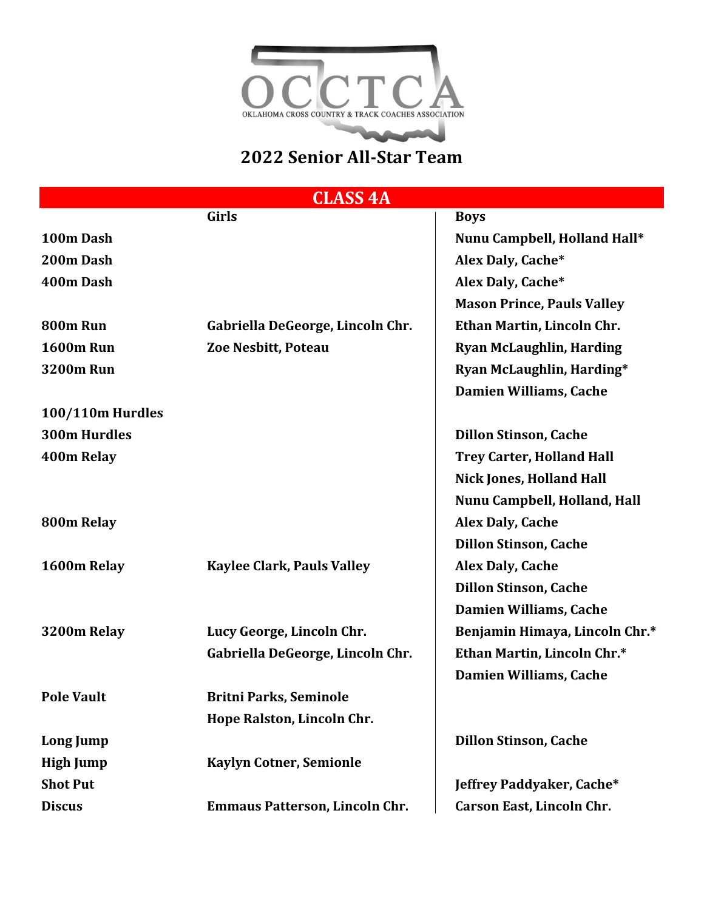

**CLASS 4A**

|                     | <b>Girls</b>                          | <b>Boys</b>                       |
|---------------------|---------------------------------------|-----------------------------------|
| 100m Dash           |                                       | Nunu Campbell, Holland Hall*      |
| 200m Dash           |                                       | Alex Daly, Cache*                 |
| 400m Dash           |                                       | Alex Daly, Cache*                 |
|                     |                                       | <b>Mason Prince, Pauls Valley</b> |
| 800m Run            | Gabriella DeGeorge, Lincoln Chr.      | Ethan Martin, Lincoln Chr.        |
| <b>1600m Run</b>    | Zoe Nesbitt, Poteau                   | <b>Ryan McLaughlin, Harding</b>   |
| <b>3200m Run</b>    |                                       | Ryan McLaughlin, Harding*         |
|                     |                                       | Damien Williams, Cache            |
| 100/110m Hurdles    |                                       |                                   |
| <b>300m Hurdles</b> |                                       | <b>Dillon Stinson, Cache</b>      |
| 400m Relay          |                                       | <b>Trey Carter, Holland Hall</b>  |
|                     |                                       | <b>Nick Jones, Holland Hall</b>   |
|                     |                                       | Nunu Campbell, Holland, Hall      |
| 800m Relay          |                                       | <b>Alex Daly, Cache</b>           |
|                     |                                       | <b>Dillon Stinson, Cache</b>      |
| 1600m Relay         | <b>Kaylee Clark, Pauls Valley</b>     | <b>Alex Daly, Cache</b>           |
|                     |                                       | <b>Dillon Stinson, Cache</b>      |
|                     |                                       | <b>Damien Williams, Cache</b>     |
| 3200m Relay         | Lucy George, Lincoln Chr.             | Benjamin Himaya, Lincoln Chr.*    |
|                     | Gabriella DeGeorge, Lincoln Chr.      | Ethan Martin, Lincoln Chr.*       |
|                     |                                       | <b>Damien Williams, Cache</b>     |
| <b>Pole Vault</b>   | <b>Britni Parks, Seminole</b>         |                                   |
|                     | Hope Ralston, Lincoln Chr.            |                                   |
| Long Jump           |                                       | <b>Dillon Stinson, Cache</b>      |
| <b>High Jump</b>    | <b>Kaylyn Cotner, Semionle</b>        |                                   |
| <b>Shot Put</b>     |                                       | Jeffrey Paddyaker, Cache*         |
| <b>Discus</b>       | <b>Emmaus Patterson, Lincoln Chr.</b> | Carson East, Lincoln Chr.         |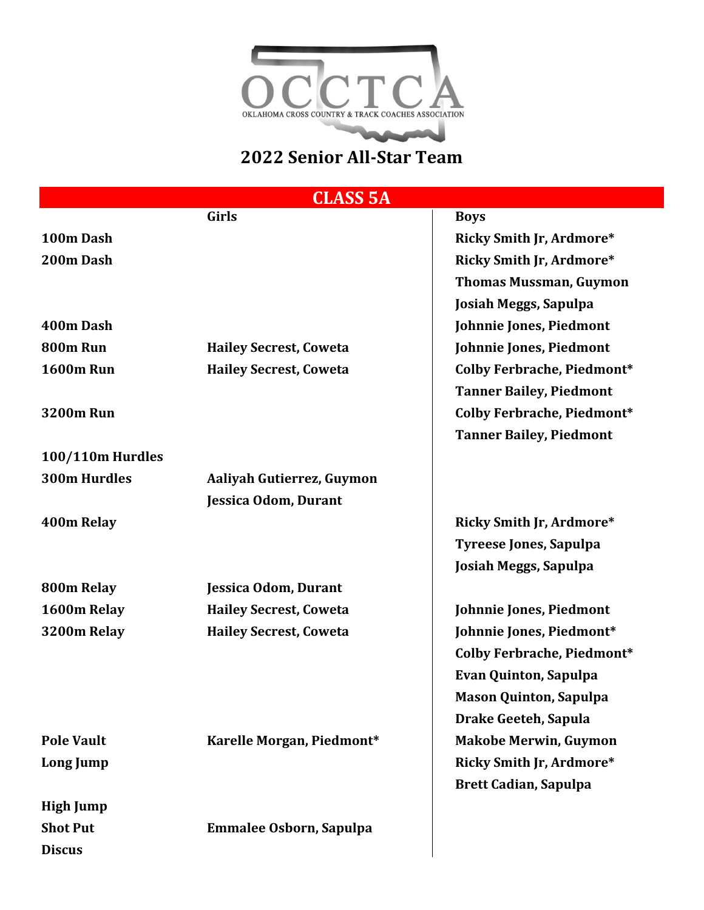

**CLASS 5A**

|                         | Girls                          | <b>Boys</b>                       |
|-------------------------|--------------------------------|-----------------------------------|
| 100m Dash               |                                | <b>Ricky Smith Jr, Ardmore*</b>   |
| 200m Dash               |                                | <b>Ricky Smith Jr, Ardmore*</b>   |
|                         |                                | <b>Thomas Mussman, Guymon</b>     |
|                         |                                | Josiah Meggs, Sapulpa             |
| 400m Dash               |                                | Johnnie Jones, Piedmont           |
| 800m Run                | <b>Hailey Secrest, Coweta</b>  | Johnnie Jones, Piedmont           |
| <b>1600m Run</b>        | <b>Hailey Secrest, Coweta</b>  | <b>Colby Ferbrache, Piedmont*</b> |
|                         |                                | <b>Tanner Bailey, Piedmont</b>    |
| <b>3200m Run</b>        |                                | <b>Colby Ferbrache, Piedmont*</b> |
|                         |                                | <b>Tanner Bailey, Piedmont</b>    |
| <b>100/110m Hurdles</b> |                                |                                   |
| <b>300m Hurdles</b>     | Aaliyah Gutierrez, Guymon      |                                   |
|                         | Jessica Odom, Durant           |                                   |
| 400m Relay              |                                | <b>Ricky Smith Jr, Ardmore*</b>   |
|                         |                                | <b>Tyreese Jones, Sapulpa</b>     |
|                         |                                | Josiah Meggs, Sapulpa             |
| 800m Relay              | Jessica Odom, Durant           |                                   |
| 1600m Relay             | <b>Hailey Secrest, Coweta</b>  | Johnnie Jones, Piedmont           |
| 3200m Relay             | <b>Hailey Secrest, Coweta</b>  | Johnnie Jones, Piedmont*          |
|                         |                                | Colby Ferbrache, Piedmont*        |
|                         |                                | <b>Evan Quinton, Sapulpa</b>      |
|                         |                                | <b>Mason Quinton, Sapulpa</b>     |
|                         |                                | Drake Geeteh, Sapula              |
| <b>Pole Vault</b>       | Karelle Morgan, Piedmont*      | <b>Makobe Merwin, Guymon</b>      |
| Long Jump               |                                | <b>Ricky Smith Jr, Ardmore*</b>   |
|                         |                                | <b>Brett Cadian, Sapulpa</b>      |
| <b>High Jump</b>        |                                |                                   |
| <b>Shot Put</b>         | <b>Emmalee Osborn, Sapulpa</b> |                                   |
| <b>Discus</b>           |                                |                                   |